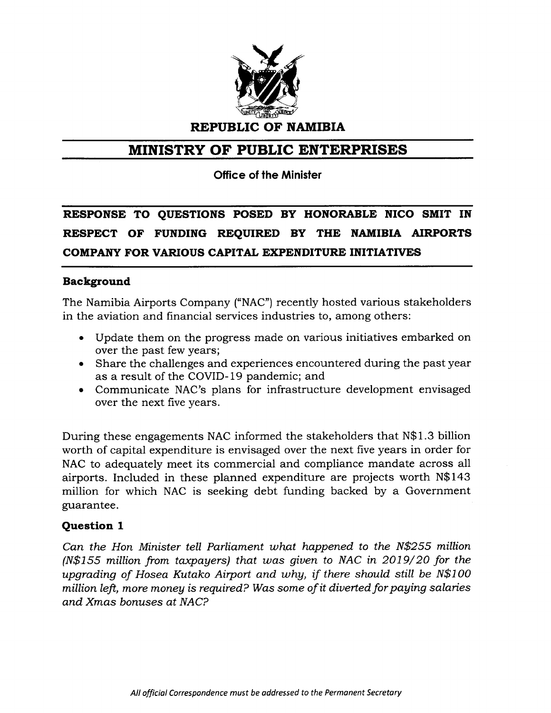

**REPUBLIC OF NAMIBIA**

# **MINISTRY OF PUBLIC ENTERPRISES**

**Office of the Minister**

**RESPONSE TO QUESTIONS POSED BY HONORABLE NICO SMIT IN RESPECT OF FUNDING REQUIRED BY THE NAMIBIA AIRPORTS COMPANY FOR VARIOUS CAPITAL EXPENDITURE INITIATIVES**

## **Background**

The Namibia Airports Company ("NAC") recently hosted various stakeholders in the aviation and financial services industries to, among others:

- Update them on the progress made on various initiatives embarked on over the past few years;
- Share the challenges and experiences encountered during the past year as a result of the COVID-19 pandemic; and
- Communicate NAC's plans for infrastructure development envisaged over the next five years.

During these engagements NAC informed the stakeholders that N\$1.3 billion worth of capital expenditure is envisaged over the next five years in order for NAC to adequately meet its commercial and compliance mandate across all airports. Included in these planned expenditure are projects worth N\$143 million for which NAC is seeking debt funding backed by a Government guarantee.

## **Question 1**

*Can the Hon Minister tell Parliament what happened* to *the N\$255 million (N\$155 million from taxpayers) that was given* to *NAC in 2019/20 for the upgrading of* Hosea *Kutako Airport and why, if there should still be N\$100 million left, more money* is *required? Was* some *of* it *diverted for paying salaries and* Xmas *bonuses at NAC?*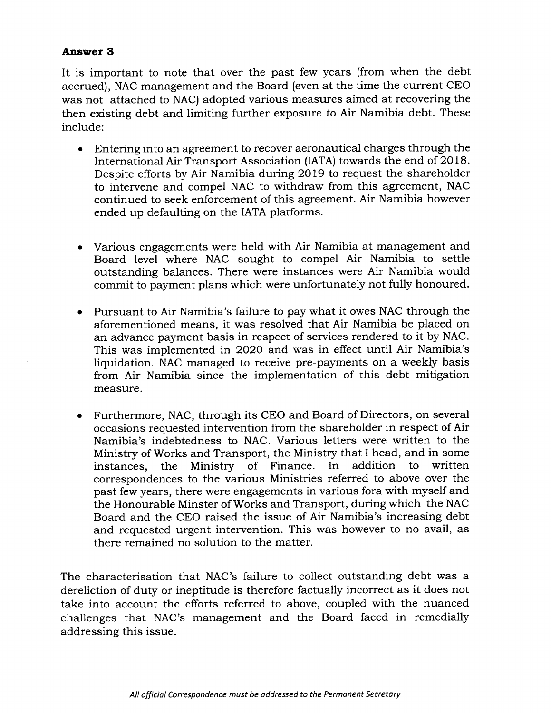#### **Answer 3**

It is important to note that over the past few years (from when the debt accrued), NAC management and the Board (even at the time the current CEO was not attached to NAC) adopted various measures aimed at recovering the then existing debt and limiting further exposure to Air Namibia debt. These include:

- Entering into an agreement to recover aeronautical charges through the International Air Transport Association (IATA) towards the end of 2018. Despite efforts by Air Namibia during 2019 to request the shareholder to intervene and compel NAC to withdraw from this agreement, NAC continued to seek enforcement of this agreement. Air Namibia however ended up defaulting on the IATA platforms.
- Various engagements were held with Air Namibia at management and Board level where NAC sought to compel Air Namibia to settle outstanding balances. There were instances were Air Namibia would commit to payment plans which were unfortunately not fully honoured.
- Pursuant to Air Namibia's failure to pay what it owes NAC through the aforementioned means, it was resolved that Air Namibia be placed on an advance payment basis in respect of services rendered to it by NAC. This was implemented in 2020 and was in effect until Air Namibia's liquidation. NAC managed to receive pre-payments on a weekly basis from Air Namibia since the implementation of this debt mitigation measure.
- Furthermore, NAC, through its CEO and Board of Directors, on several occasions requested intervention from the shareholder in respect of Air Namibia's indebtedness to NAC. Various letters were written to the Ministry of Works and Transport, the Ministry that I head, and in some instances, the Ministry of Finance. In addition to written correspondences to the various Ministries referred to above over the past fewyears, there were engagements in various fora with myself and the Honourable Minster of Works and Transport, during which the NAC Board and the CEO raised the issue of Air Namibia's increasing debt and requested urgent intervention. This was however to no avail, as there remained no solution to the matter.

The characterisation that NAC's failure to collect outstanding debt was a dereliction of duty or ineptitude is therefore factually incorrect as it does not take into account the efforts referred to above, coupled with the nuanced challenges that NAC's management and the Board faced in remedially addressing this issue.